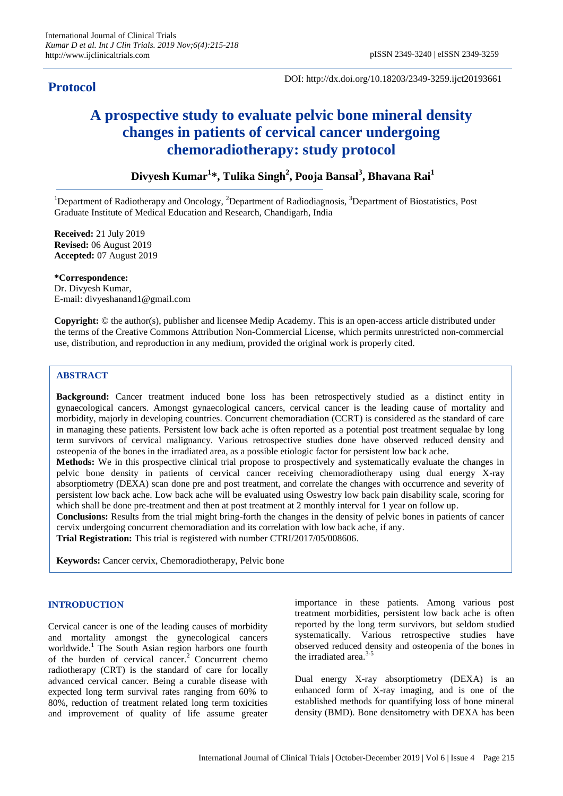# **Protocol**

DOI: http://dx.doi.org/10.18203/2349-3259.ijct20193661

# **A prospective study to evaluate pelvic bone mineral density changes in patients of cervical cancer undergoing chemoradiotherapy: study protocol**

**Divyesh Kumar<sup>1</sup> \*, Tulika Singh<sup>2</sup> , Pooja Bansal<sup>3</sup> , Bhavana Rai<sup>1</sup>**

<sup>1</sup>Department of Radiotherapy and Oncology, <sup>2</sup>Department of Radiodiagnosis,  $3$ Department of Biostatistics, Post Graduate Institute of Medical Education and Research, Chandigarh, India

**Received:** 21 July 2019 **Revised:** 06 August 2019 **Accepted:** 07 August 2019

**\*Correspondence:** Dr. Divyesh Kumar, E-mail: divyeshanand1@gmail.com

**Copyright:** © the author(s), publisher and licensee Medip Academy. This is an open-access article distributed under the terms of the Creative Commons Attribution Non-Commercial License, which permits unrestricted non-commercial use, distribution, and reproduction in any medium, provided the original work is properly cited.

# **ABSTRACT**

**Background:** Cancer treatment induced bone loss has been retrospectively studied as a distinct entity in gynaecological cancers. Amongst gynaecological cancers, cervical cancer is the leading cause of mortality and morbidity, majorly in developing countries. Concurrent chemoradiation (CCRT) is considered as the standard of care in managing these patients. Persistent low back ache is often reported as a potential post treatment sequalae by long term survivors of cervical malignancy. Various retrospective studies done have observed reduced density and osteopenia of the bones in the irradiated area, as a possible etiologic factor for persistent low back ache. **Methods:** We in this prospective clinical trial propose to prospectively and systematically evaluate the changes in

pelvic bone density in patients of cervical cancer receiving chemoradiotherapy using dual energy X-ray absorptiometry (DEXA) scan done pre and post treatment, and correlate the changes with occurrence and severity of persistent low back ache. Low back ache will be evaluated using Oswestry low back pain disability scale, scoring for which shall be done pre-treatment and then at post treatment at 2 monthly interval for 1 year on follow up.

**Conclusions:** Results from the trial might bring-forth the changes in the density of pelvic bones in patients of cancer cervix undergoing concurrent chemoradiation and its correlation with low back ache, if any.

**Trial Registration:** This trial is registered with number CTRI/2017/05/008606.

**Keywords:** Cancer cervix, Chemoradiotherapy, Pelvic bone

#### **INTRODUCTION**

Cervical cancer is one of the leading causes of morbidity and mortality amongst the gynecological cancers worldwide.<sup>1</sup> The South Asian region harbors one fourth of the burden of cervical cancer.<sup>2</sup> Concurrent chemo radiotherapy (CRT) is the standard of care for locally advanced cervical cancer. Being a curable disease with expected long term survival rates ranging from 60% to 80%, reduction of treatment related long term toxicities and improvement of quality of life assume greater importance in these patients. Among various post treatment morbidities, persistent low back ache is often reported by the long term survivors, but seldom studied systematically. Various retrospective studies have observed reduced density and osteopenia of the bones in the irradiated area. $3-5$ 

Dual energy X-ray absorptiometry (DEXA) is an enhanced form of X-ray imaging, and is one of the established methods for quantifying loss of bone mineral density (BMD). Bone densitometry with DEXA has been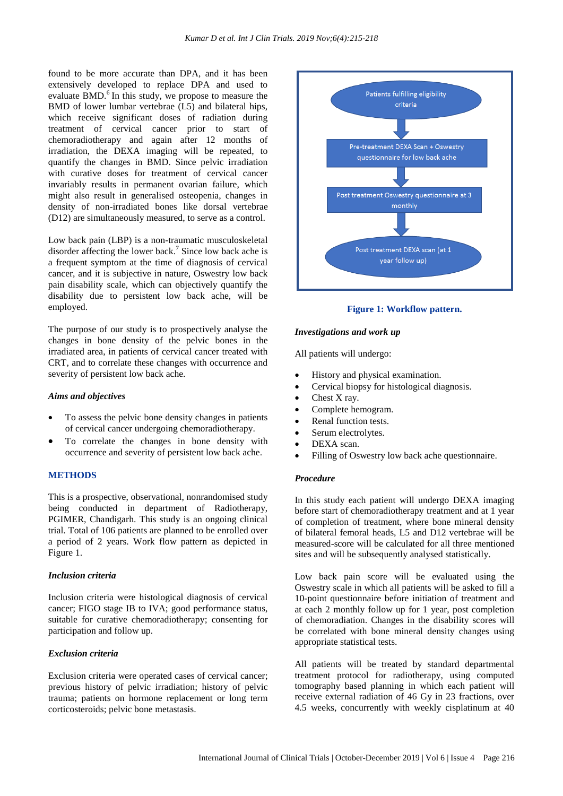found to be more accurate than DPA, and it has been extensively developed to replace DPA and used to evaluate BMD. $<sup>6</sup>$  In this study, we propose to measure the</sup> BMD of lower lumbar vertebrae (L5) and bilateral hips, which receive significant doses of radiation during treatment of cervical cancer prior to start of chemoradiotherapy and again after 12 months of irradiation, the DEXA imaging will be repeated, to quantify the changes in BMD. Since pelvic irradiation with curative doses for treatment of cervical cancer invariably results in permanent ovarian failure, which might also result in generalised osteopenia, changes in density of non-irradiated bones like dorsal vertebrae (D12) are simultaneously measured, to serve as a control.

Low back pain (LBP) is a non-traumatic musculoskeletal disorder affecting the lower back. 7 Since low back ache is a frequent symptom at the time of diagnosis of cervical cancer, and it is subjective in nature, Oswestry low back pain disability scale, which can objectively quantify the disability due to persistent low back ache, will be employed.

The purpose of our study is to prospectively analyse the changes in bone density of the pelvic bones in the irradiated area, in patients of cervical cancer treated with CRT, and to correlate these changes with occurrence and severity of persistent low back ache.

#### *Aims and objectives*

- To assess the pelvic bone density changes in patients of cervical cancer undergoing chemoradiotherapy.
- To correlate the changes in bone density with occurrence and severity of persistent low back ache.

# **METHODS**

This is a prospective, observational, nonrandomised study being conducted in department of Radiotherapy, PGIMER, Chandigarh. This study is an ongoing clinical trial. Total of 106 patients are planned to be enrolled over a period of 2 years. Work flow pattern as depicted in Figure 1.

#### *Inclusion criteria*

Inclusion criteria were histological diagnosis of cervical cancer; FIGO stage IB to IVA; good performance status, suitable for curative chemoradiotherapy; consenting for participation and follow up.

# *Exclusion criteria*

Exclusion criteria were operated cases of cervical cancer; previous history of pelvic irradiation; history of pelvic trauma; patients on hormone replacement or long term corticosteroids; pelvic bone metastasis.



**Figure 1: Workflow pattern.**

#### *Investigations and work up*

All patients will undergo:

- History and physical examination.
- Cervical biopsy for histological diagnosis.
- Chest X ray.
- Complete hemogram.
- Renal function tests.
- Serum electrolytes.
- DEXA scan.
- Filling of Oswestry low back ache questionnaire.

# *Procedure*

In this study each patient will undergo DEXA imaging before start of chemoradiotherapy treatment and at 1 year of completion of treatment, where bone mineral density of bilateral femoral heads, L5 and D12 vertebrae will be measured-score will be calculated for all three mentioned sites and will be subsequently analysed statistically.

Low back pain score will be evaluated using the Oswestry scale in which all patients will be asked to fill a 10-point questionnaire before initiation of treatment and at each 2 monthly follow up for 1 year, post completion of chemoradiation. Changes in the disability scores will be correlated with bone mineral density changes using appropriate statistical tests.

All patients will be treated by standard departmental treatment protocol for radiotherapy, using computed tomography based planning in which each patient will receive external radiation of 46 Gy in 23 fractions, over 4.5 weeks, concurrently with weekly cisplatinum at 40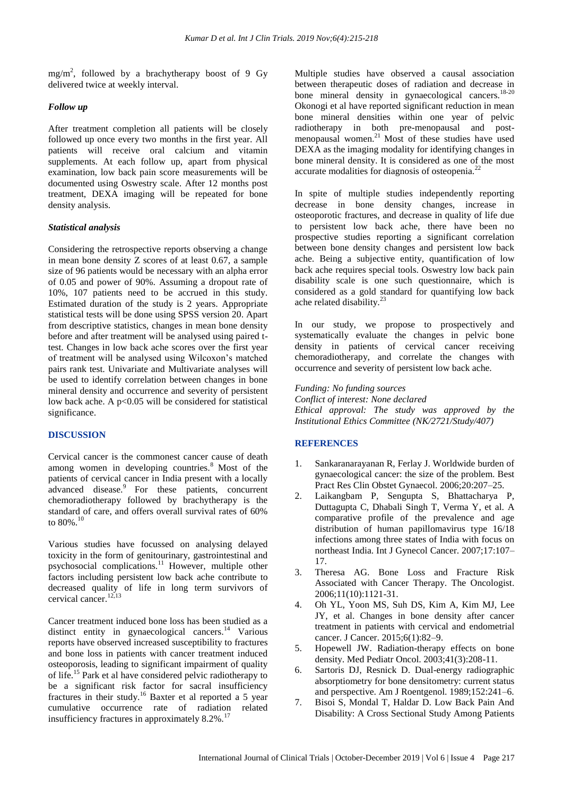$mg/m<sup>2</sup>$ , followed by a brachytherapy boost of 9 Gy delivered twice at weekly interval.

#### *Follow up*

After treatment completion all patients will be closely followed up once every two months in the first year. All patients will receive oral calcium and vitamin supplements. At each follow up, apart from physical examination, low back pain score measurements will be documented using Oswestry scale. After 12 months post treatment, DEXA imaging will be repeated for bone density analysis.

# *Statistical analysis*

Considering the retrospective reports observing a change in mean bone density Z scores of at least 0.67, a sample size of 96 patients would be necessary with an alpha error of 0.05 and power of 90%. Assuming a dropout rate of 10%, 107 patients need to be accrued in this study. Estimated duration of the study is 2 years. Appropriate statistical tests will be done using SPSS version 20. Apart from descriptive statistics, changes in mean bone density before and after treatment will be analysed using paired ttest. Changes in low back ache scores over the first year of treatment will be analysed using Wilcoxon's matched pairs rank test. Univariate and Multivariate analyses will be used to identify correlation between changes in bone mineral density and occurrence and severity of persistent low back ache. A p<0.05 will be considered for statistical significance.

# **DISCUSSION**

Cervical cancer is the commonest cancer cause of death among women in developing countries.<sup>8</sup> Most of the patients of cervical cancer in India present with a locally advanced disease.<sup>9</sup> For these patients, concurrent chemoradiotherapy followed by brachytherapy is the standard of care, and offers overall survival rates of 60% to  $80\%$ <sup>10</sup>

Various studies have focussed on analysing delayed toxicity in the form of genitourinary, gastrointestinal and psychosocial complications.<sup>11</sup> However, multiple other factors including persistent low back ache contribute to decreased quality of life in long term survivors of cervical cancer.<sup>12,13</sup>

Cancer treatment induced bone loss has been studied as a distinct entity in gynaecological cancers.<sup>14</sup> Various reports have observed increased susceptibility to fractures and bone loss in patients with cancer treatment induced osteoporosis, leading to significant impairment of quality of life.<sup>15</sup> Park et al have considered pelvic radiotherapy to be a significant risk factor for sacral insufficiency fractures in their study.<sup>16</sup> Baxter et al reported a 5 year cumulative occurrence rate of radiation related insufficiency fractures in approximately  $8.2\%$ .<sup>17</sup>

Multiple studies have observed a causal association between therapeutic doses of radiation and decrease in bone mineral density in gynaecological cancers. $18-20$ Okonogi et al have reported significant reduction in mean bone mineral densities within one year of pelvic radiotherapy in both pre-menopausal and postmenopausal women.<sup>21</sup> Most of these studies have used DEXA as the imaging modality for identifying changes in bone mineral density. It is considered as one of the most accurate modalities for diagnosis of osteopenia.<sup>22</sup>

In spite of multiple studies independently reporting decrease in bone density changes, increase in osteoporotic fractures, and decrease in quality of life due to persistent low back ache, there have been no prospective studies reporting a significant correlation between bone density changes and persistent low back ache. Being a subjective entity, quantification of low back ache requires special tools. Oswestry low back pain disability scale is one such questionnaire, which is considered as a gold standard for quantifying low back ache related disability.<sup>23</sup>

In our study, we propose to prospectively and systematically evaluate the changes in pelvic bone density in patients of cervical cancer receiving chemoradiotherapy, and correlate the changes with occurrence and severity of persistent low back ache.

*Funding: No funding sources*

*Conflict of interest: None declared Ethical approval: The study was approved by the Institutional Ethics Committee (NK/2721/Study/407)*

# **REFERENCES**

- 1. Sankaranarayanan R, Ferlay J. Worldwide burden of gynaecological cancer: the size of the problem. Best Pract Res Clin Obstet Gynaecol. 2006;20:207–25.
- 2. Laikangbam P, Sengupta S, Bhattacharya P, Duttagupta C, Dhabali Singh T, Verma Y, et al. A comparative profile of the prevalence and age distribution of human papillomavirus type 16/18 infections among three states of India with focus on northeast India. Int J Gynecol Cancer. 2007;17:107– 17.
- 3. Theresa AG. Bone Loss and Fracture Risk Associated with Cancer Therapy. The Oncologist. 2006;11(10):1121-31.
- 4. Oh YL, Yoon MS, Suh DS, Kim A, Kim MJ, Lee JY, et al. Changes in bone density after cancer treatment in patients with cervical and endometrial cancer. J Cancer. 2015;6(1):82–9.
- 5. Hopewell JW. Radiation-therapy effects on bone density. Med Pediatr Oncol. 2003;41(3):208-11.
- 6. Sartoris DJ, Resnick D. Dual-energy radiographic absorptiometry for bone densitometry: current status and perspective. Am J Roentgenol. 1989;152:241–6.
- 7. Bisoi S, Mondal T, Haldar D. Low Back Pain And Disability: A Cross Sectional Study Among Patients